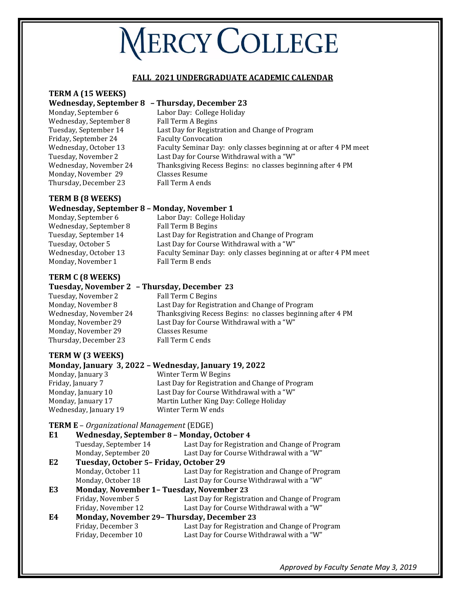# **NERCY COLLEGE**

#### **FALL 2021 UNDERGRADUATE ACADEMIC CALENDAR**

#### **TERM A (15 WEEKS)**

#### **Wednesday, September 8 – Thursday, December 23**

- Wednesday, September 8 Fall Term A Begins Friday, September 24 Faculty Convocation Monday, November 29 Classes Resume Thursday, December 23 Fall Term A ends
- Monday, September 6 Labor Day: College Holiday Tuesday, September 14 Last Day for Registration and Change of Program Wednesday, October 13 Faculty Seminar Day: only classes beginning at or after 4 PM meet Tuesday, November 2 Last Day for Course Withdrawal with a "W" Wednesday, November 24 Thanksgiving Recess Begins: no classes beginning after 4 PM

#### **TERM B (8 WEEKS) Wednesday, September 8 – Monday, November 1**

| weanesday, september o | MORGAN, NOVCHIDEL 1                                               |
|------------------------|-------------------------------------------------------------------|
| Monday, September 6    | Labor Day: College Holiday                                        |
| Wednesday, September 8 | Fall Term B Begins                                                |
| Tuesday, September 14  | Last Day for Registration and Change of Program                   |
| Tuesday, October 5     | Last Day for Course Withdrawal with a "W"                         |
| Wednesday, October 13  | Faculty Seminar Day: only classes beginning at or after 4 PM meet |
| Monday, November 1     | Fall Term B ends                                                  |
|                        |                                                                   |

#### **TERM C (8 WEEKS)**

#### **Tuesday, November 2 – Thursday, December 23**

Tuesday, November 2 Fall Term C Begins Monday, November 8 Last Day for Registration and Change of Program Wednesday, November 24 Thanksgiving Recess Begins: no classes beginning after 4 PM Monday, November 29 Last Day for Course Withdrawal with a "W" Monday, November 29 Classes Resume Thursday, December 23 Fall Term C ends

### **TERM W (3 WEEKS)**

#### **Monday, January 3, 2022 – Wednesday, January 19, 2022**

Monday, January 3 Winter Term W Begins Wednesday, January 19 Winter Term W ends

### Friday, January 7 Last Day for Registration and Change of Program Monday, January 10 Last Day for Course Withdrawal with a "W" Monday, January 17 Martin Luther King Day: College Holiday

#### **TERM E** – *Organizational Management* (EDGE)

| Wednesday, September 8 - Monday, October 4<br>E <sub>1</sub> |                                                   |                                                 |
|--------------------------------------------------------------|---------------------------------------------------|-------------------------------------------------|
|                                                              | Tuesday, September 14                             | Last Day for Registration and Change of Program |
|                                                              | Monday, September 20                              | Last Day for Course Withdrawal with a "W"       |
| E <sub>2</sub>                                               | Tuesday, October 5- Friday, October 29            |                                                 |
|                                                              | Monday, October 11                                | Last Day for Registration and Change of Program |
|                                                              | Monday, October 18                                | Last Day for Course Withdrawal with a "W"       |
| E3                                                           | <b>Monday, November 1- Tuesday, November 23</b>   |                                                 |
|                                                              | Friday, November 5                                | Last Day for Registration and Change of Program |
|                                                              | Friday, November 12                               | Last Day for Course Withdrawal with a "W"       |
| E4                                                           | <b>Monday, November 29- Thursday, December 23</b> |                                                 |
|                                                              | Friday, December 3                                | Last Day for Registration and Change of Program |
|                                                              | Friday. December 10                               | Last Dav for Course Withdrawal with a "W"       |